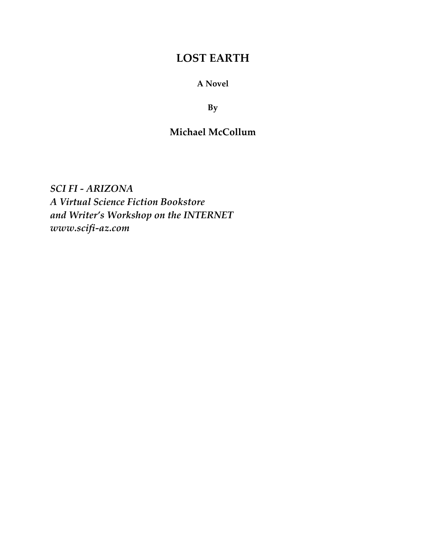### **LOST EARTH**

#### **A Novel**

**By**

### **Michael McCollum**

*SCI FI ‐ ARIZONA A Virtual Science Fiction Bookstore and Writer's Workshop on the INTERNET www.scifi‐az.com*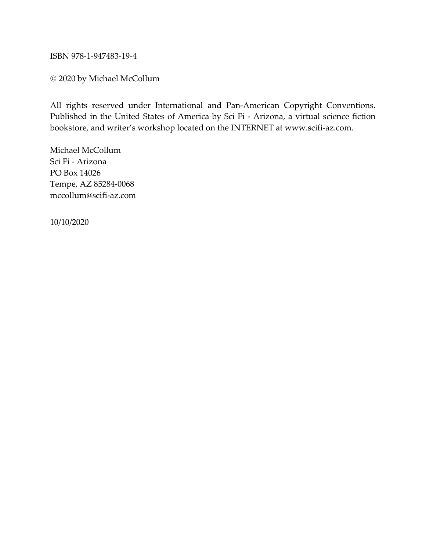ISBN 978‐1‐947483‐19‐4

2020 by Michael McCollum

All rights reserved under International and Pan‐American Copyright Conventions. Published in the United States of America by Sci Fi - Arizona, a virtual science fiction bookstore, and writer's workshop located on the INTERNET at www.scifi‐az.com.

Michael McCollum Sci Fi ‐ Arizona PO Box 14026 Tempe, AZ 85284‐0068 mccollum@scifi‐az.com

10/10/2020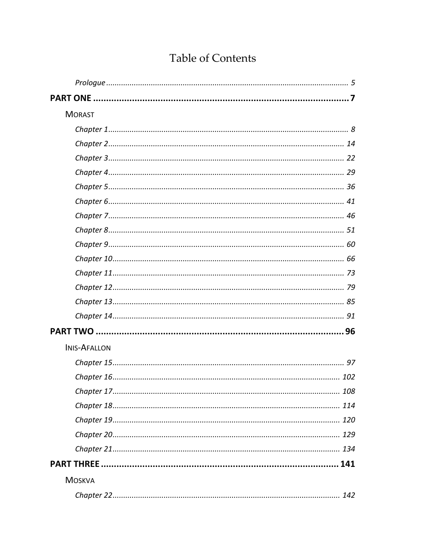# **Table of Contents**

| <b>MORAST</b>       |
|---------------------|
|                     |
|                     |
|                     |
|                     |
|                     |
|                     |
|                     |
|                     |
|                     |
|                     |
|                     |
|                     |
|                     |
|                     |
|                     |
| <b>INIS-AFALLON</b> |
|                     |
|                     |
|                     |
|                     |
|                     |
|                     |
|                     |
|                     |
| <b>MOSKVA</b>       |
|                     |
|                     |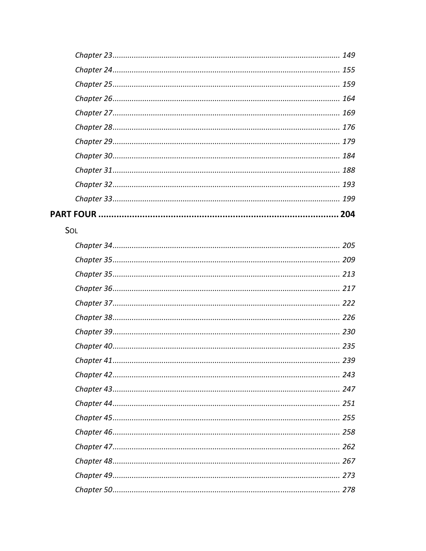| SOL |
|-----|
|     |
|     |
|     |
|     |
|     |
|     |
|     |
|     |
|     |
|     |
|     |
|     |
|     |
|     |
|     |
|     |
|     |
|     |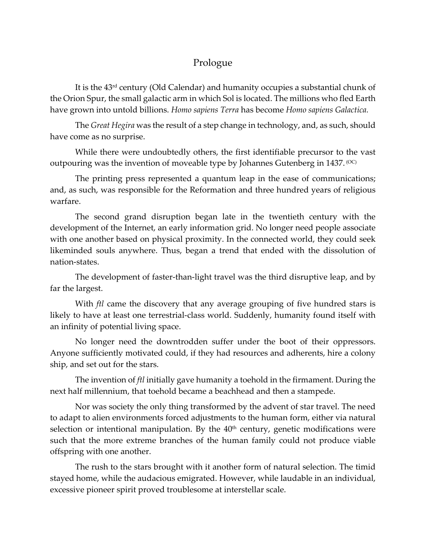#### Prologue

It is the 43rd century (Old Calendar) and humanity occupies a substantial chunk of the Orion Spur, the small galactic arm in which Sol is located. The millions who fled Earth have grown into untold billions. *Homo sapiens Terra* has become *Homo sapiens Galactica.*

The *Great Hegira* was the result of a step change in technology, and, as such, should have come as no surprise.

While there were undoubtedly others, the first identifiable precursor to the vast outpouring was the invention of moveable type by Johannes Gutenberg in 1437.  $^{\rm (OC)}$ 

The printing press represented a quantum leap in the ease of communications; and, as such, was responsible for the Reformation and three hundred years of religious warfare.

The second grand disruption began late in the twentieth century with the development of the Internet, an early information grid. No longer need people associate with one another based on physical proximity. In the connected world, they could seek likeminded souls anywhere. Thus, began a trend that ended with the dissolution of nation‐states.

The development of faster-than-light travel was the third disruptive leap, and by far the largest.

With *ftl* came the discovery that any average grouping of five hundred stars is likely to have at least one terrestrial‐class world. Suddenly, humanity found itself with an infinity of potential living space.

No longer need the downtrodden suffer under the boot of their oppressors. Anyone sufficiently motivated could, if they had resources and adherents, hire a colony ship, and set out for the stars.

The invention of *ftl* initially gave humanity a toehold in the firmament. During the next half millennium, that toehold became a beachhead and then a stampede.

Nor was society the only thing transformed by the advent of star travel. The need to adapt to alien environments forced adjustments to the human form, either via natural selection or intentional manipulation. By the  $40<sup>th</sup>$  century, genetic modifications were such that the more extreme branches of the human family could not produce viable offspring with one another.

The rush to the stars brought with it another form of natural selection. The timid stayed home, while the audacious emigrated. However, while laudable in an individual, excessive pioneer spirit proved troublesome at interstellar scale.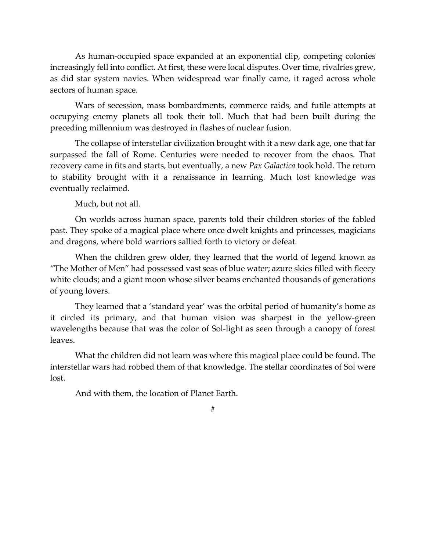As human‐occupied space expanded at an exponential clip, competing colonies increasingly fell into conflict. At first, these were local disputes. Over time, rivalries grew, as did star system navies. When widespread war finally came, it raged across whole sectors of human space.

Wars of secession, mass bombardments, commerce raids, and futile attempts at occupying enemy planets all took their toll. Much that had been built during the preceding millennium was destroyed in flashes of nuclear fusion.

The collapse of interstellar civilization brought with it a new dark age, one that far surpassed the fall of Rome. Centuries were needed to recover from the chaos. That recovery came in fits and starts, but eventually, a new *Pax Galactica* took hold. The return to stability brought with it a renaissance in learning. Much lost knowledge was eventually reclaimed.

Much, but not all.

On worlds across human space, parents told their children stories of the fabled past. They spoke of a magical place where once dwelt knights and princesses, magicians and dragons, where bold warriors sallied forth to victory or defeat.

When the children grew older, they learned that the world of legend known as "The Mother of Men" had possessed vast seas of blue water; azure skies filled with fleecy white clouds; and a giant moon whose silver beams enchanted thousands of generations of young lovers.

They learned that a 'standard year' was the orbital period of humanity's home as it circled its primary, and that human vision was sharpest in the yellow‐green wavelengths because that was the color of Sol-light as seen through a canopy of forest leaves.

What the children did not learn was where this magical place could be found. The interstellar wars had robbed them of that knowledge. The stellar coordinates of Sol were lost.

And with them, the location of Planet Earth.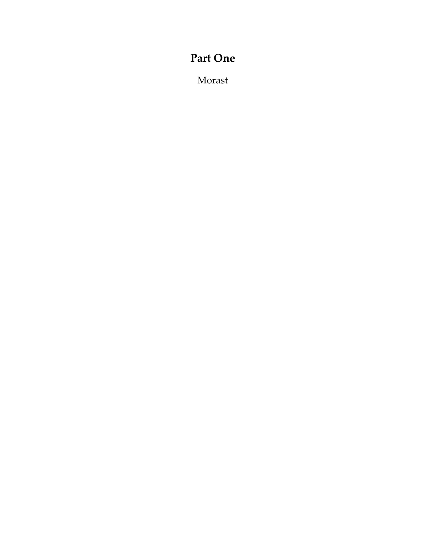## **Part One**

Morast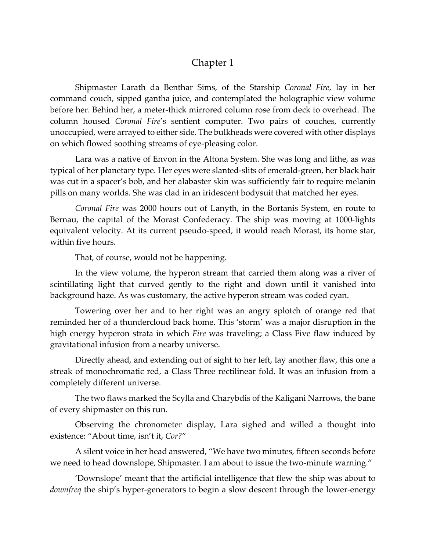#### Chapter 1

Shipmaster Larath da Benthar Sims, of the Starship *Coronal Fire*, lay in her command couch, sipped gantha juice, and contemplated the holographic view volume before her. Behind her, a meter‐thick mirrored column rose from deck to overhead. The column housed *Coronal Fire*'s sentient computer. Two pairs of couches, currently unoccupied, were arrayed to either side. The bulkheads were covered with other displays on which flowed soothing streams of eye‐pleasing color.

Lara was a native of Envon in the Altona System. She was long and lithe, as was typical of her planetary type. Her eyes were slanted‐slits of emerald‐green, her black hair was cut in a spacer's bob, and her alabaster skin was sufficiently fair to require melanin pills on many worlds. She was clad in an iridescent bodysuit that matched her eyes.

*Coronal Fire* was 2000 hours out of Lanyth, in the Bortanis System, en route to Bernau, the capital of the Morast Confederacy. The ship was moving at 1000-lights equivalent velocity. At its current pseudo‐speed, it would reach Morast, its home star, within five hours.

That, of course, would not be happening.

In the view volume, the hyperon stream that carried them along was a river of scintillating light that curved gently to the right and down until it vanished into background haze. As was customary, the active hyperon stream was coded cyan.

Towering over her and to her right was an angry splotch of orange red that reminded her of a thundercloud back home. This 'storm' was a major disruption in the high energy hyperon strata in which *Fire* was traveling; a Class Five flaw induced by gravitational infusion from a nearby universe.

Directly ahead, and extending out of sight to her left, lay another flaw, this one a streak of monochromatic red, a Class Three rectilinear fold. It was an infusion from a completely different universe.

The two flaws marked the Scylla and Charybdis of the Kaligani Narrows, the bane of every shipmaster on this run.

Observing the chronometer display, Lara sighed and willed a thought into existence: "About time, isn't it, *Cor?*"

A silent voice in her head answered, "We have two minutes, fifteen seconds before we need to head downslope, Shipmaster. I am about to issue the two-minute warning."

'Downslope' meant that the artificial intelligence that flew the ship was about to *downfreq* the ship's hyper-generators to begin a slow descent through the lower-energy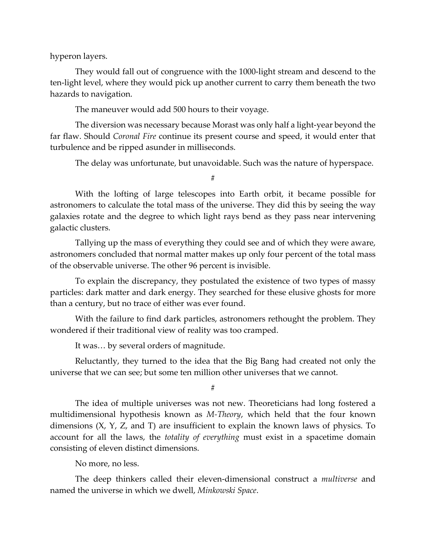hyperon layers.

They would fall out of congruence with the 1000‐light stream and descend to the ten-light level, where they would pick up another current to carry them beneath the two hazards to navigation.

The maneuver would add 500 hours to their voyage.

The diversion was necessary because Morast was only half a light‐year beyond the far flaw. Should *Coronal Fire* continue its present course and speed, it would enter that turbulence and be ripped asunder in milliseconds.

The delay was unfortunate, but unavoidable. Such was the nature of hyperspace.

#

With the lofting of large telescopes into Earth orbit, it became possible for astronomers to calculate the total mass of the universe. They did this by seeing the way galaxies rotate and the degree to which light rays bend as they pass near intervening galactic clusters.

Tallying up the mass of everything they could see and of which they were aware, astronomers concluded that normal matter makes up only four percent of the total mass of the observable universe. The other 96 percent is invisible.

To explain the discrepancy, they postulated the existence of two types of massy particles: dark matter and dark energy. They searched for these elusive ghosts for more than a century, but no trace of either was ever found.

With the failure to find dark particles, astronomers rethought the problem. They wondered if their traditional view of reality was too cramped.

It was… by several orders of magnitude.

Reluctantly, they turned to the idea that the Big Bang had created not only the universe that we can see; but some ten million other universes that we cannot.

#

The idea of multiple universes was not new. Theoreticians had long fostered a multidimensional hypothesis known as *M‐Theory*, which held that the four known dimensions (X, Y, Z, and T) are insufficient to explain the known laws of physics. To account for all the laws, the *totality of everything* must exist in a spacetime domain consisting of eleven distinct dimensions.

No more, no less.

The deep thinkers called their eleven‐dimensional construct a *multiverse* and named the universe in which we dwell, *Minkowski Space*.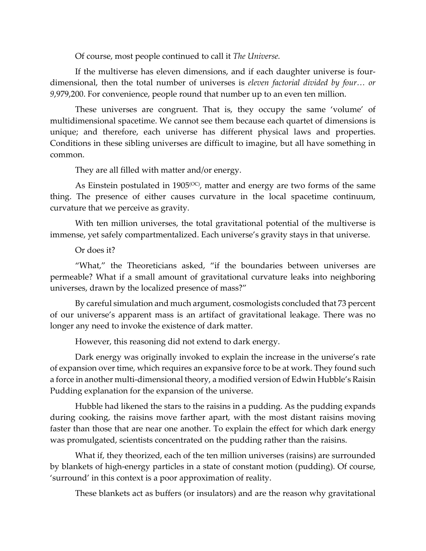Of course, most people continued to call it *The Universe.*

If the multiverse has eleven dimensions, and if each daughter universe is four‐ dimensional, then the total number of universes is *eleven factorial divided by four… or 9*,979,200. For convenience, people round that number up to an even ten million.

These universes are congruent. That is, they occupy the same 'volume' of multidimensional spacetime. We cannot see them because each quartet of dimensions is unique; and therefore, each universe has different physical laws and properties. Conditions in these sibling universes are difficult to imagine, but all have something in common.

They are all filled with matter and/or energy.

As Einstein postulated in 1905 $\alpha$ , matter and energy are two forms of the same thing. The presence of either causes curvature in the local spacetime continuum, curvature that we perceive as gravity.

With ten million universes, the total gravitational potential of the multiverse is immense, yet safely compartmentalized. Each universe's gravity stays in that universe.

Or does it?

"What," the Theoreticians asked, "if the boundaries between universes are permeable? What if a small amount of gravitational curvature leaks into neighboring universes, drawn by the localized presence of mass?"

By careful simulation and much argument, cosmologists concluded that 73 percent of our universe's apparent mass is an artifact of gravitational leakage. There was no longer any need to invoke the existence of dark matter.

However, this reasoning did not extend to dark energy.

Dark energy was originally invoked to explain the increase in the universe's rate of expansion over time, which requires an expansive force to be at work. They found such a force in another multi-dimensional theory, a modified version of Edwin Hubble's Raisin Pudding explanation for the expansion of the universe.

Hubble had likened the stars to the raisins in a pudding. As the pudding expands during cooking, the raisins move farther apart, with the most distant raisins moving faster than those that are near one another. To explain the effect for which dark energy was promulgated, scientists concentrated on the pudding rather than the raisins.

What if, they theorized, each of the ten million universes (raisins) are surrounded by blankets of high-energy particles in a state of constant motion (pudding). Of course, 'surround' in this context is a poor approximation of reality.

These blankets act as buffers (or insulators) and are the reason why gravitational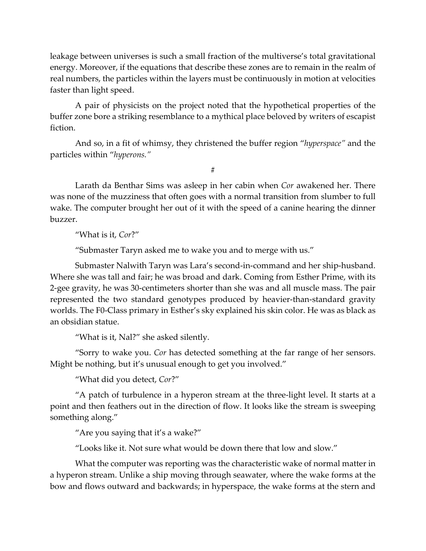leakage between universes is such a small fraction of the multiverse's total gravitational energy. Moreover, if the equations that describe these zones are to remain in the realm of real numbers, the particles within the layers must be continuously in motion at velocities faster than light speed.

A pair of physicists on the project noted that the hypothetical properties of the buffer zone bore a striking resemblance to a mythical place beloved by writers of escapist fiction.

And so, in a fit of whimsy, they christened the buffer region "*hyperspace"* and the particles within "*hyperons."*

#

Larath da Benthar Sims was asleep in her cabin when *Cor* awakened her. There was none of the muzziness that often goes with a normal transition from slumber to full wake. The computer brought her out of it with the speed of a canine hearing the dinner buzzer.

"What is it, *Cor*?"

"Submaster Taryn asked me to wake you and to merge with us."

Submaster Nalwith Taryn was Lara's second‐in‐command and her ship‐husband. Where she was tall and fair; he was broad and dark. Coming from Esther Prime, with its 2‐gee gravity, he was 30‐centimeters shorter than she was and all muscle mass. The pair represented the two standard genotypes produced by heavier-than-standard gravity worlds. The F0‐Class primary in Esther's sky explained his skin color. He was as black as an obsidian statue.

"What is it, Nal?" she asked silently.

"Sorry to wake you. *Cor* has detected something at the far range of her sensors. Might be nothing, but it's unusual enough to get you involved."

"What did you detect, *Cor*?"

"A patch of turbulence in a hyperon stream at the three‐light level. It starts at a point and then feathers out in the direction of flow. It looks like the stream is sweeping something along."

"Are you saying that it's a wake?"

"Looks like it. Not sure what would be down there that low and slow."

What the computer was reporting was the characteristic wake of normal matter in a hyperon stream. Unlike a ship moving through seawater, where the wake forms at the bow and flows outward and backwards; in hyperspace, the wake forms at the stern and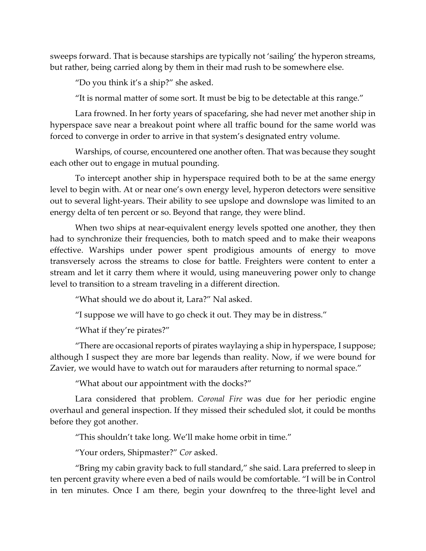sweeps forward. That is because starships are typically not 'sailing' the hyperon streams, but rather, being carried along by them in their mad rush to be somewhere else.

"Do you think it's a ship?" she asked.

"It is normal matter of some sort. It must be big to be detectable at this range."

Lara frowned. In her forty years of spacefaring, she had never met another ship in hyperspace save near a breakout point where all traffic bound for the same world was forced to converge in order to arrive in that system's designated entry volume.

Warships, of course, encountered one another often. That was because they sought each other out to engage in mutual pounding.

To intercept another ship in hyperspace required both to be at the same energy level to begin with. At or near one's own energy level, hyperon detectors were sensitive out to several light‐years. Their ability to see upslope and downslope was limited to an energy delta of ten percent or so. Beyond that range, they were blind.

When two ships at near-equivalent energy levels spotted one another, they then had to synchronize their frequencies, both to match speed and to make their weapons effective. Warships under power spent prodigious amounts of energy to move transversely across the streams to close for battle. Freighters were content to enter a stream and let it carry them where it would, using maneuvering power only to change level to transition to a stream traveling in a different direction.

"What should we do about it, Lara?" Nal asked.

"I suppose we will have to go check it out. They may be in distress."

"What if they're pirates?"

"There are occasional reports of pirates waylaying a ship in hyperspace, I suppose; although I suspect they are more bar legends than reality. Now, if we were bound for Zavier, we would have to watch out for marauders after returning to normal space."

"What about our appointment with the docks?"

Lara considered that problem. *Coronal Fire* was due for her periodic engine overhaul and general inspection. If they missed their scheduled slot, it could be months before they got another.

"This shouldn't take long. We'll make home orbit in time."

"Your orders, Shipmaster?" *Cor* asked.

"Bring my cabin gravity back to full standard," she said. Lara preferred to sleep in ten percent gravity where even a bed of nails would be comfortable. "I will be in Control in ten minutes. Once I am there, begin your downfreq to the three‐light level and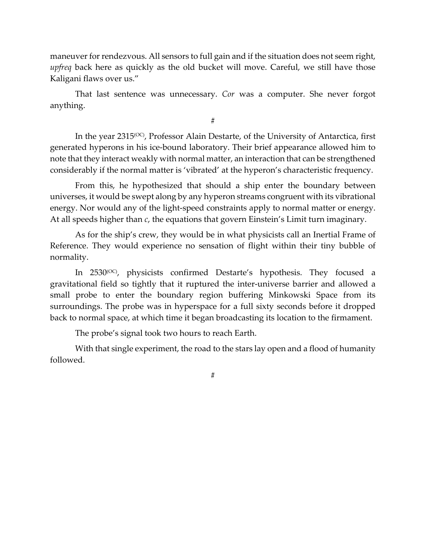maneuver for rendezvous. All sensors to full gain and if the situation does not seem right, *upfreq* back here as quickly as the old bucket will move. Careful, we still have those Kaligani flaws over us."

That last sentence was unnecessary. *Cor* was a computer. She never forgot anything.

#

In the year 2315<sup>(OC)</sup>, Professor Alain Destarte, of the University of Antarctica, first generated hyperons in his ice‐bound laboratory. Their brief appearance allowed him to note that they interact weakly with normal matter, an interaction that can be strengthened considerably if the normal matter is 'vibrated' at the hyperon's characteristic frequency.

From this, he hypothesized that should a ship enter the boundary between universes, it would be swept along by any hyperon streams congruent with its vibrational energy. Nor would any of the light-speed constraints apply to normal matter or energy. At all speeds higher than *c*, the equations that govern Einstein's Limit turn imaginary.

As for the ship's crew, they would be in what physicists call an Inertial Frame of Reference. They would experience no sensation of flight within their tiny bubble of normality.

In 2530<sup>(OC)</sup>, physicists confirmed Destarte's hypothesis. They focused a gravitational field so tightly that it ruptured the inter‐universe barrier and allowed a small probe to enter the boundary region buffering Minkowski Space from its surroundings. The probe was in hyperspace for a full sixty seconds before it dropped back to normal space, at which time it began broadcasting its location to the firmament.

The probe's signal took two hours to reach Earth.

With that single experiment, the road to the stars lay open and a flood of humanity followed.

#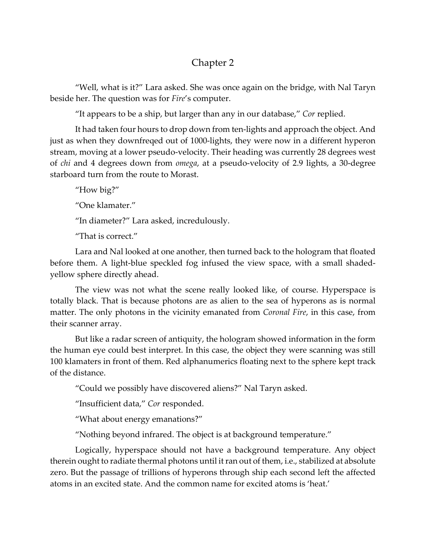#### Chapter 2

"Well, what is it?" Lara asked. She was once again on the bridge, with Nal Taryn beside her. The question was for *Fire*'s computer.

"It appears to be a ship, but larger than any in our database," *Cor* replied.

It had taken four hours to drop down from ten‐lights and approach the object. And just as when they downfreqed out of 1000‐lights, they were now in a different hyperon stream, moving at a lower pseudo‐velocity. Their heading was currently 28 degrees west of *chi* and 4 degrees down from *omega*, at a pseudo‐velocity of 2.9 lights, a 30‐degree starboard turn from the route to Morast.

"How big?"

"One klamater."

"In diameter?" Lara asked, incredulously.

"That is correct."

Lara and Nal looked at one another, then turned back to the hologram that floated before them. A light-blue speckled fog infused the view space, with a small shadedyellow sphere directly ahead.

The view was not what the scene really looked like, of course. Hyperspace is totally black. That is because photons are as alien to the sea of hyperons as is normal matter. The only photons in the vicinity emanated from *Coronal Fire*, in this case, from their scanner array.

But like a radar screen of antiquity, the hologram showed information in the form the human eye could best interpret. In this case, the object they were scanning was still 100 klamaters in front of them. Red alphanumerics floating next to the sphere kept track of the distance.

"Could we possibly have discovered aliens?" Nal Taryn asked.

"Insufficient data," *Cor* responded.

"What about energy emanations?"

"Nothing beyond infrared. The object is at background temperature."

Logically, hyperspace should not have a background temperature. Any object therein ought to radiate thermal photons until it ran out of them, i.e., stabilized at absolute zero. But the passage of trillions of hyperons through ship each second left the affected atoms in an excited state. And the common name for excited atoms is 'heat.'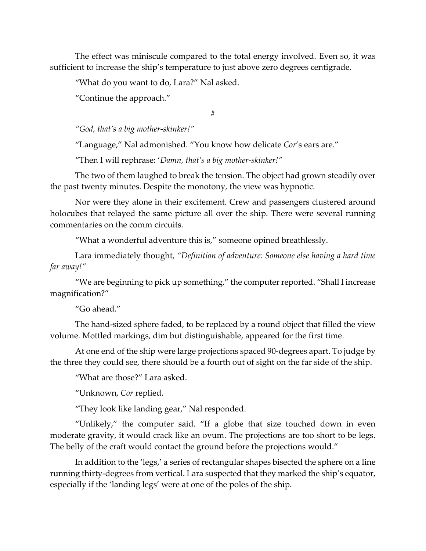The effect was miniscule compared to the total energy involved. Even so, it was sufficient to increase the ship's temperature to just above zero degrees centigrade.

"What do you want to do, Lara?" Nal asked.

"Continue the approach."

#

*"God, that's a big mother‐skinker!"*

"Language," Nal admonished. "You know how delicate *Cor*'s ears are."

"Then I will rephrase: '*Damn, that's a big mother‐skinker!"*

The two of them laughed to break the tension. The object had grown steadily over the past twenty minutes. Despite the monotony, the view was hypnotic.

Nor were they alone in their excitement. Crew and passengers clustered around holocubes that relayed the same picture all over the ship. There were several running commentaries on the comm circuits.

"What a wonderful adventure this is," someone opined breathlessly.

Lara immediately thought, *"Definition of adventure: Someone else having a hard time far away!"*

"We are beginning to pick up something," the computer reported. "Shall I increase magnification?"

"Go ahead."

The hand‐sized sphere faded, to be replaced by a round object that filled the view volume. Mottled markings, dim but distinguishable, appeared for the first time.

At one end of the ship were large projections spaced 90‐degrees apart. To judge by the three they could see, there should be a fourth out of sight on the far side of the ship.

"What are those?" Lara asked.

"Unknown, *Cor* replied.

"They look like landing gear," Nal responded.

"Unlikely," the computer said. "If a globe that size touched down in even moderate gravity, it would crack like an ovum. The projections are too short to be legs. The belly of the craft would contact the ground before the projections would."

In addition to the 'legs,' a series of rectangular shapes bisected the sphere on a line running thirty-degrees from vertical. Lara suspected that they marked the ship's equator, especially if the 'landing legs' were at one of the poles of the ship.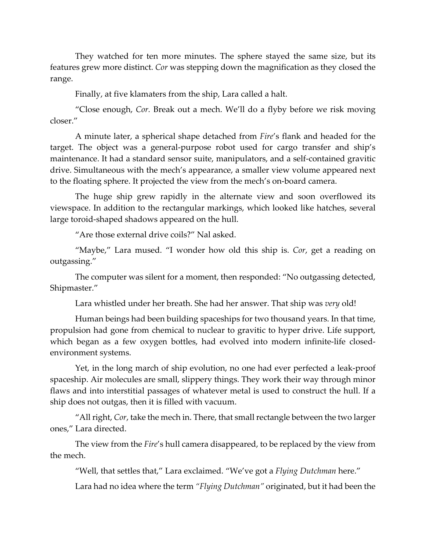They watched for ten more minutes. The sphere stayed the same size, but its features grew more distinct. *Cor* was stepping down the magnification as they closed the range.

Finally, at five klamaters from the ship, Lara called a halt.

"Close enough, *Cor.* Break out a mech. We'll do a flyby before we risk moving closer."

A minute later, a spherical shape detached from *Fire*'s flank and headed for the target. The object was a general‐purpose robot used for cargo transfer and ship's maintenance. It had a standard sensor suite, manipulators, and a self‐contained gravitic drive. Simultaneous with the mech's appearance, a smaller view volume appeared next to the floating sphere. It projected the view from the mech's on‐board camera.

The huge ship grew rapidly in the alternate view and soon overflowed its viewspace. In addition to the rectangular markings, which looked like hatches, several large toroid‐shaped shadows appeared on the hull.

"Are those external drive coils?" Nal asked.

"Maybe," Lara mused. "I wonder how old this ship is. *Cor*, get a reading on outgassing."

The computer was silent for a moment, then responded: "No outgassing detected, Shipmaster."

Lara whistled under her breath. She had her answer. That ship was *very* old!

Human beings had been building spaceships for two thousand years. In that time, propulsion had gone from chemical to nuclear to gravitic to hyper drive. Life support, which began as a few oxygen bottles, had evolved into modern infinite-life closedenvironment systems.

Yet, in the long march of ship evolution, no one had ever perfected a leak‐proof spaceship. Air molecules are small, slippery things. They work their way through minor flaws and into interstitial passages of whatever metal is used to construct the hull. If a ship does not outgas, then it is filled with vacuum.

"All right, *Cor*, take the mech in. There, that small rectangle between the two larger ones," Lara directed.

The view from the *Fire*'s hull camera disappeared, to be replaced by the view from the mech.

"Well, that settles that," Lara exclaimed. "We've got a *Flying Dutchman* here."

Lara had no idea where the term *"Flying Dutchman"* originated, but it had been the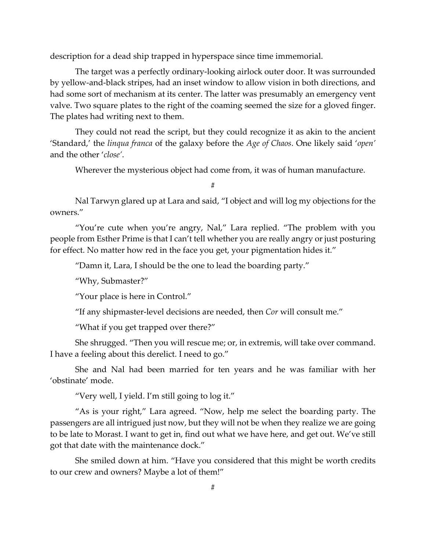description for a dead ship trapped in hyperspace since time immemorial.

The target was a perfectly ordinary‐looking airlock outer door. It was surrounded by yellow‐and‐black stripes, had an inset window to allow vision in both directions, and had some sort of mechanism at its center. The latter was presumably an emergency vent valve. Two square plates to the right of the coaming seemed the size for a gloved finger. The plates had writing next to them.

They could not read the script, but they could recognize it as akin to the ancient 'Standard,' the *linqua franca* of the galaxy before the *Age of Chaos*. One likely said '*open'* and the other '*close'*.

Wherever the mysterious object had come from, it was of human manufacture.

#

Nal Tarwyn glared up at Lara and said, "I object and will log my objections for the owners."

"You're cute when you're angry, Nal," Lara replied. "The problem with you people from Esther Prime is that I can't tell whether you are really angry or just posturing for effect. No matter how red in the face you get, your pigmentation hides it."

"Damn it, Lara, I should be the one to lead the boarding party."

"Why, Submaster?"

"Your place is here in Control."

"If any shipmaster‐level decisions are needed, then *Cor* will consult me."

"What if you get trapped over there?"

She shrugged. "Then you will rescue me; or, in extremis, will take over command. I have a feeling about this derelict. I need to go."

She and Nal had been married for ten years and he was familiar with her 'obstinate' mode.

"Very well, I yield. I'm still going to log it."

"As is your right," Lara agreed. "Now, help me select the boarding party. The passengers are all intrigued just now, but they will not be when they realize we are going to be late to Morast. I want to get in, find out what we have here, and get out. We've still got that date with the maintenance dock."

She smiled down at him. "Have you considered that this might be worth credits to our crew and owners? Maybe a lot of them!"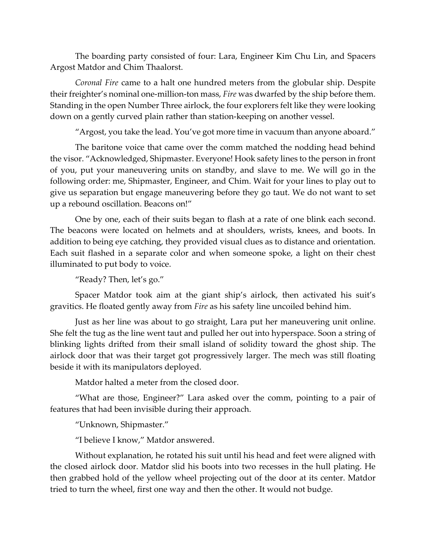The boarding party consisted of four: Lara, Engineer Kim Chu Lin, and Spacers Argost Matdor and Chim Thaalorst.

*Coronal Fire* came to a halt one hundred meters from the globular ship. Despite their freighter's nominal one‐million‐ton mass, *Fire* was dwarfed by the ship before them. Standing in the open Number Three airlock, the four explorers felt like they were looking down on a gently curved plain rather than station‐keeping on another vessel.

"Argost, you take the lead. You've got more time in vacuum than anyone aboard."

The baritone voice that came over the comm matched the nodding head behind the visor. "Acknowledged, Shipmaster. Everyone! Hook safety lines to the person in front of you, put your maneuvering units on standby, and slave to me. We will go in the following order: me, Shipmaster, Engineer, and Chim. Wait for your lines to play out to give us separation but engage maneuvering before they go taut. We do not want to set up a rebound oscillation. Beacons on!"

One by one, each of their suits began to flash at a rate of one blink each second. The beacons were located on helmets and at shoulders, wrists, knees, and boots. In addition to being eye catching, they provided visual clues as to distance and orientation. Each suit flashed in a separate color and when someone spoke, a light on their chest illuminated to put body to voice.

"Ready? Then, let's go."

Spacer Matdor took aim at the giant ship's airlock, then activated his suit's gravitics. He floated gently away from *Fire* as his safety line uncoiled behind him.

Just as her line was about to go straight, Lara put her maneuvering unit online. She felt the tug as the line went taut and pulled her out into hyperspace. Soon a string of blinking lights drifted from their small island of solidity toward the ghost ship. The airlock door that was their target got progressively larger. The mech was still floating beside it with its manipulators deployed.

Matdor halted a meter from the closed door.

"What are those, Engineer?" Lara asked over the comm, pointing to a pair of features that had been invisible during their approach.

"Unknown, Shipmaster."

"I believe I know," Matdor answered.

Without explanation, he rotated his suit until his head and feet were aligned with the closed airlock door. Matdor slid his boots into two recesses in the hull plating. He then grabbed hold of the yellow wheel projecting out of the door at its center. Matdor tried to turn the wheel, first one way and then the other. It would not budge.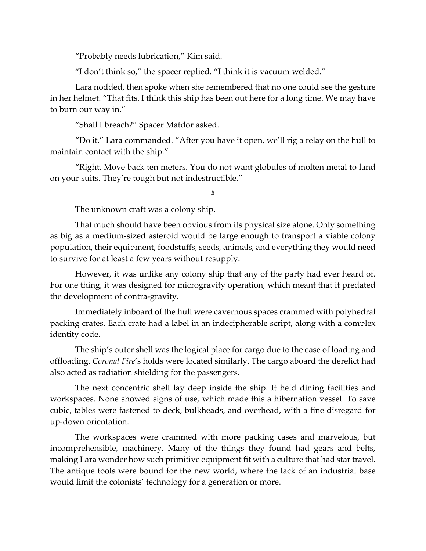"Probably needs lubrication," Kim said.

"I don't think so," the spacer replied. "I think it is vacuum welded."

Lara nodded, then spoke when she remembered that no one could see the gesture in her helmet. "That fits. I think this ship has been out here for a long time. We may have to burn our way in."

"Shall I breach?" Spacer Matdor asked.

"Do it," Lara commanded. "After you have it open, we'll rig a relay on the hull to maintain contact with the ship."

"Right. Move back ten meters. You do not want globules of molten metal to land on your suits. They're tough but not indestructible."

#

The unknown craft was a colony ship.

That much should have been obvious from its physical size alone. Only something as big as a medium‐sized asteroid would be large enough to transport a viable colony population, their equipment, foodstuffs, seeds, animals, and everything they would need to survive for at least a few years without resupply.

However, it was unlike any colony ship that any of the party had ever heard of. For one thing, it was designed for microgravity operation, which meant that it predated the development of contra‐gravity.

Immediately inboard of the hull were cavernous spaces crammed with polyhedral packing crates. Each crate had a label in an indecipherable script, along with a complex identity code.

The ship's outer shell was the logical place for cargo due to the ease of loading and offloading. *Coronal Fire*'s holds were located similarly. The cargo aboard the derelict had also acted as radiation shielding for the passengers.

The next concentric shell lay deep inside the ship. It held dining facilities and workspaces. None showed signs of use, which made this a hibernation vessel. To save cubic, tables were fastened to deck, bulkheads, and overhead, with a fine disregard for up‐down orientation.

The workspaces were crammed with more packing cases and marvelous, but incomprehensible, machinery. Many of the things they found had gears and belts, making Lara wonder how such primitive equipment fit with a culture that had star travel. The antique tools were bound for the new world, where the lack of an industrial base would limit the colonists' technology for a generation or more.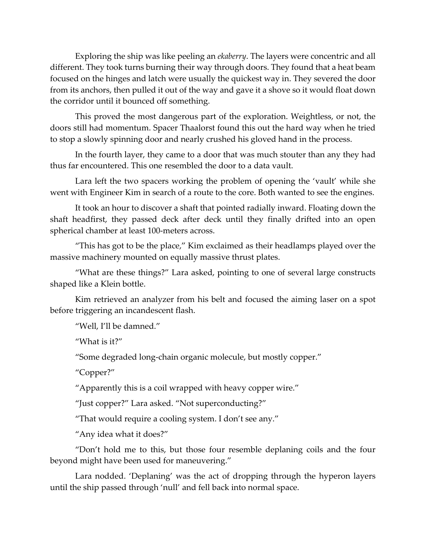Exploring the ship was like peeling an *ekaberry*. The layers were concentric and all different. They took turns burning their way through doors. They found that a heat beam focused on the hinges and latch were usually the quickest way in. They severed the door from its anchors, then pulled it out of the way and gave it a shove so it would float down the corridor until it bounced off something.

This proved the most dangerous part of the exploration. Weightless, or not, the doors still had momentum. Spacer Thaalorst found this out the hard way when he tried to stop a slowly spinning door and nearly crushed his gloved hand in the process.

In the fourth layer, they came to a door that was much stouter than any they had thus far encountered. This one resembled the door to a data vault.

Lara left the two spacers working the problem of opening the 'vault' while she went with Engineer Kim in search of a route to the core. Both wanted to see the engines.

It took an hour to discover a shaft that pointed radially inward. Floating down the shaft headfirst, they passed deck after deck until they finally drifted into an open spherical chamber at least 100‐meters across.

"This has got to be the place," Kim exclaimed as their headlamps played over the massive machinery mounted on equally massive thrust plates.

"What are these things?" Lara asked, pointing to one of several large constructs shaped like a Klein bottle.

Kim retrieved an analyzer from his belt and focused the aiming laser on a spot before triggering an incandescent flash.

"Well, I'll be damned."

"What is it?"

"Some degraded long‐chain organic molecule, but mostly copper."

"Copper?"

"Apparently this is a coil wrapped with heavy copper wire."

"Just copper?" Lara asked. "Not superconducting?"

"That would require a cooling system. I don't see any."

"Any idea what it does?"

"Don't hold me to this, but those four resemble deplaning coils and the four beyond might have been used for maneuvering."

Lara nodded. 'Deplaning' was the act of dropping through the hyperon layers until the ship passed through 'null' and fell back into normal space.